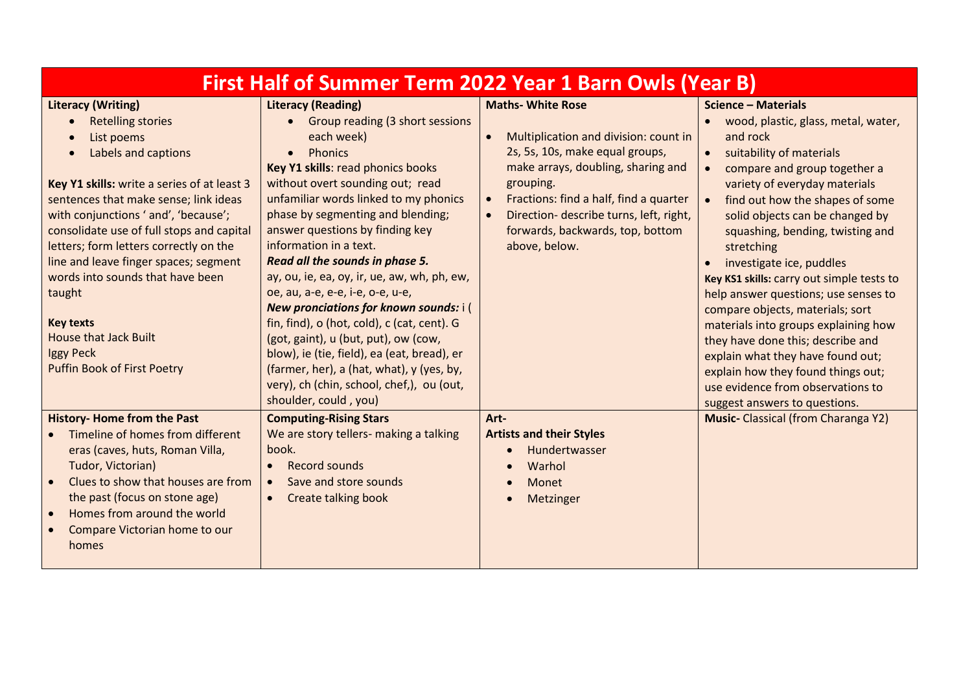| <b>First Half of Summer Term 2022 Year 1 Barn Owls (Year B)</b>                                                                                                                                                                                                                                                                                                                                                                                                                                                                                        |                                                                                                                                                                                                                                                                                                                                                                                                                                                                                                                                                                                                                                                                                                                                                                     |                                                                                                                                                                                                                                                                                                                             |                                                                                                                                                                                                                                                                                                                                                                                                                                                                                                                                                                                                                                                                                                    |  |
|--------------------------------------------------------------------------------------------------------------------------------------------------------------------------------------------------------------------------------------------------------------------------------------------------------------------------------------------------------------------------------------------------------------------------------------------------------------------------------------------------------------------------------------------------------|---------------------------------------------------------------------------------------------------------------------------------------------------------------------------------------------------------------------------------------------------------------------------------------------------------------------------------------------------------------------------------------------------------------------------------------------------------------------------------------------------------------------------------------------------------------------------------------------------------------------------------------------------------------------------------------------------------------------------------------------------------------------|-----------------------------------------------------------------------------------------------------------------------------------------------------------------------------------------------------------------------------------------------------------------------------------------------------------------------------|----------------------------------------------------------------------------------------------------------------------------------------------------------------------------------------------------------------------------------------------------------------------------------------------------------------------------------------------------------------------------------------------------------------------------------------------------------------------------------------------------------------------------------------------------------------------------------------------------------------------------------------------------------------------------------------------------|--|
| <b>Literacy (Writing)</b><br><b>Retelling stories</b><br>$\bullet$<br>List poems<br>$\bullet$<br>Labels and captions<br>$\bullet$<br>Key Y1 skills: write a series of at least 3<br>sentences that make sense; link ideas<br>with conjunctions ' and', 'because';<br>consolidate use of full stops and capital<br>letters; form letters correctly on the<br>line and leave finger spaces; segment<br>words into sounds that have been<br>taught<br><b>Key texts</b><br><b>House that Jack Built</b><br>Iggy Peck<br><b>Puffin Book of First Poetry</b> | <b>Literacy (Reading)</b><br>Group reading (3 short sessions<br>$\bullet$<br>each week)<br><b>Phonics</b><br>$\bullet$<br>Key Y1 skills: read phonics books<br>without overt sounding out; read<br>unfamiliar words linked to my phonics<br>phase by segmenting and blending;<br>answer questions by finding key<br>information in a text.<br>Read all the sounds in phase 5.<br>ay, ou, ie, ea, oy, ir, ue, aw, wh, ph, ew,<br>oe, au, a-e, e-e, i-e, o-e, u-e,<br>New pronciations for known sounds: i (<br>fin, find), o (hot, cold), c (cat, cent). G<br>(got, gaint), u (but, put), ow (cow,<br>blow), ie (tie, field), ea (eat, bread), er<br>(farmer, her), a (hat, what), y (yes, by,<br>very), ch (chin, school, chef,), ou (out,<br>shoulder, could, you) | <b>Maths- White Rose</b><br>Multiplication and division: count in<br>2s, 5s, 10s, make equal groups,<br>make arrays, doubling, sharing and<br>grouping.<br>Fractions: find a half, find a quarter<br>$\bullet$<br>Direction- describe turns, left, right,<br>$\bullet$<br>forwards, backwards, top, bottom<br>above, below. | <b>Science - Materials</b><br>wood, plastic, glass, metal, water,<br>and rock<br>suitability of materials<br>$\bullet$<br>compare and group together a<br>variety of everyday materials<br>find out how the shapes of some<br>solid objects can be changed by<br>squashing, bending, twisting and<br>stretching<br>investigate ice, puddles<br>Key KS1 skills: carry out simple tests to<br>help answer questions; use senses to<br>compare objects, materials; sort<br>materials into groups explaining how<br>they have done this; describe and<br>explain what they have found out;<br>explain how they found things out;<br>use evidence from observations to<br>suggest answers to questions. |  |
| <b>History-Home from the Past</b><br>Timeline of homes from different<br>eras (caves, huts, Roman Villa,<br>Tudor, Victorian)<br>Clues to show that houses are from<br>the past (focus on stone age)<br>Homes from around the world<br>$\bullet$<br>Compare Victorian home to our<br>homes                                                                                                                                                                                                                                                             | <b>Computing-Rising Stars</b><br>We are story tellers- making a talking<br>book.<br><b>Record sounds</b><br>$\bullet$<br>Save and store sounds<br>$\bullet$<br><b>Create talking book</b>                                                                                                                                                                                                                                                                                                                                                                                                                                                                                                                                                                           | Art-<br><b>Artists and their Styles</b><br>Hundertwasser<br>Warhol<br>Monet<br>Metzinger                                                                                                                                                                                                                                    | <b>Music-</b> Classical (from Charanga Y2)                                                                                                                                                                                                                                                                                                                                                                                                                                                                                                                                                                                                                                                         |  |